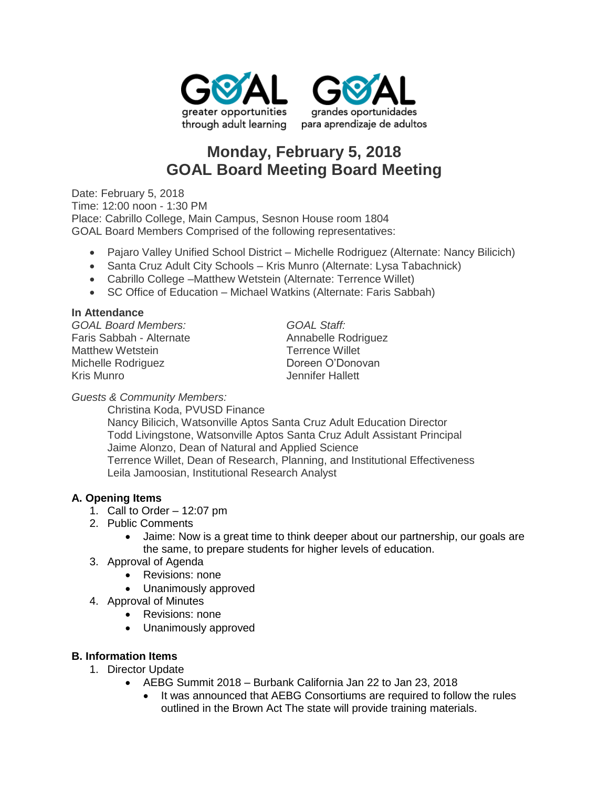



# **Monday, February 5, 2018 GOAL Board Meeting Board Meeting**

Date: February 5, 2018 Time: 12:00 noon - 1:30 PM Place: Cabrillo College, Main Campus, Sesnon House room 1804 GOAL Board Members Comprised of the following representatives:

- Pajaro Valley Unified School District Michelle Rodriguez (Alternate: Nancy Bilicich)
- Santa Cruz Adult City Schools Kris Munro (Alternate: Lysa Tabachnick)
- Cabrillo College –Matthew Wetstein (Alternate: Terrence Willet)
- SC Office of Education Michael Watkins (Alternate: Faris Sabbah)

## **In Attendance**

*GOAL Board Members: GOAL Staff:* Faris Sabbah - Alternate **Annabelle Rodriguez** Matthew Wetstein **Terrence Willet** Michelle Rodriguez **Doreen O'Donovan** Kris Munro Jennifer Hallett

## *Guests & Community Members:*

Christina Koda, PVUSD Finance Nancy Bilicich, Watsonville Aptos Santa Cruz Adult Education Director Todd Livingstone, Watsonville Aptos Santa Cruz Adult Assistant Principal Jaime Alonzo, Dean of Natural and Applied Science Terrence Willet, Dean of Research, Planning, and Institutional Effectiveness Leila Jamoosian, Institutional Research Analyst

## **A. Opening Items**

- 1. Call to Order 12:07 pm
- 2. Public Comments
	- Jaime: Now is a great time to think deeper about our partnership, our goals are the same, to prepare students for higher levels of education.
- 3. Approval of Agenda
	- Revisions: none
	- Unanimously approved
- 4. Approval of Minutes
	- Revisions: none
	- Unanimously approved

## **B. Information Items**

- 1. Director Update
	- AEBG Summit 2018 Burbank California Jan 22 to Jan 23, 2018
		- It was announced that AEBG Consortiums are required to follow the rules outlined in the Brown Act The state will provide training materials.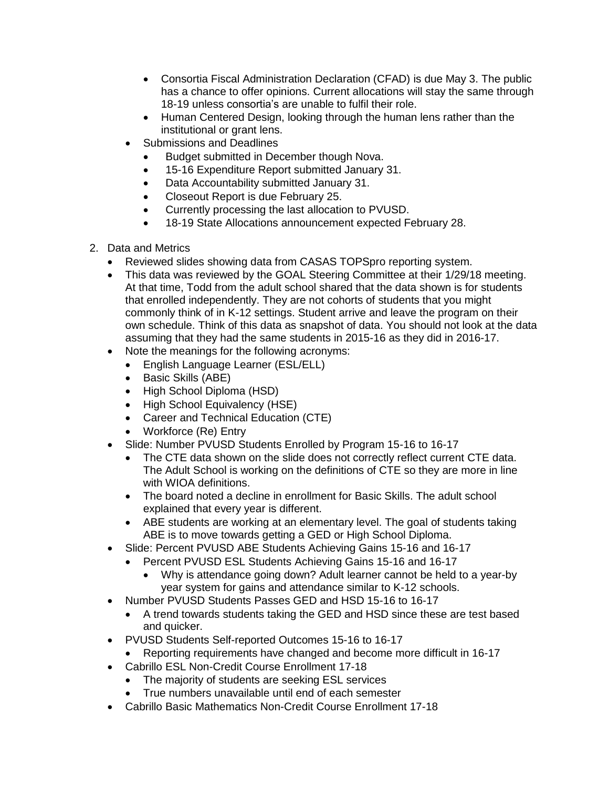- Consortia Fiscal Administration Declaration (CFAD) is due May 3. The public has a chance to offer opinions. Current allocations will stay the same through 18-19 unless consortia's are unable to fulfil their role.
- Human Centered Design, looking through the human lens rather than the institutional or grant lens.
- Submissions and Deadlines
	- Budget submitted in December though Nova.
	- 15-16 Expenditure Report submitted January 31.
	- Data Accountability submitted January 31.
	- Closeout Report is due February 25.
	- Currently processing the last allocation to PVUSD.
	- 18-19 State Allocations announcement expected February 28.
- 2. Data and Metrics
	- Reviewed slides showing data from CASAS TOPSpro reporting system.
	- This data was reviewed by the GOAL Steering Committee at their 1/29/18 meeting. At that time, Todd from the adult school shared that the data shown is for students that enrolled independently. They are not cohorts of students that you might commonly think of in K-12 settings. Student arrive and leave the program on their own schedule. Think of this data as snapshot of data. You should not look at the data assuming that they had the same students in 2015-16 as they did in 2016-17.
	- Note the meanings for the following acronyms:
		- English Language Learner (ESL/ELL)
		- Basic Skills (ABE)
		- High School Diploma (HSD)
		- High School Equivalency (HSE)
		- Career and Technical Education (CTE)
		- Workforce (Re) Entry
	- Slide: Number PVUSD Students Enrolled by Program 15-16 to 16-17
		- The CTE data shown on the slide does not correctly reflect current CTE data. The Adult School is working on the definitions of CTE so they are more in line with WIOA definitions.
		- The board noted a decline in enrollment for Basic Skills. The adult school explained that every year is different.
		- ABE students are working at an elementary level. The goal of students taking ABE is to move towards getting a GED or High School Diploma.
	- Slide: Percent PVUSD ABE Students Achieving Gains 15-16 and 16-17
		- Percent PVUSD ESL Students Achieving Gains 15-16 and 16-17
			- Why is attendance going down? Adult learner cannot be held to a year-by year system for gains and attendance similar to K-12 schools.
	- Number PVUSD Students Passes GED and HSD 15-16 to 16-17
		- A trend towards students taking the GED and HSD since these are test based and quicker.
	- PVUSD Students Self-reported Outcomes 15-16 to 16-17
	- Reporting requirements have changed and become more difficult in 16-17
	- Cabrillo ESL Non-Credit Course Enrollment 17-18
		- The majority of students are seeking ESL services
		- True numbers unavailable until end of each semester
	- Cabrillo Basic Mathematics Non-Credit Course Enrollment 17-18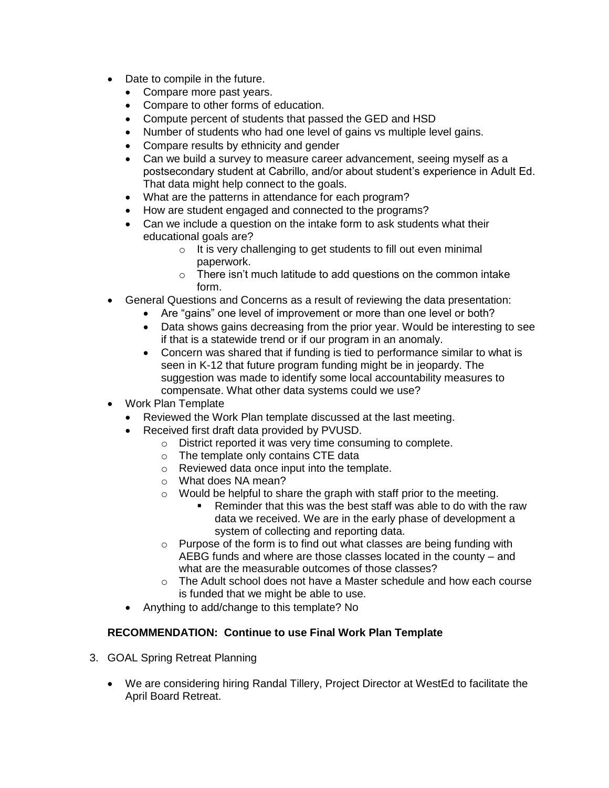- Date to compile in the future.
	- Compare more past years.
	- Compare to other forms of education.
	- Compute percent of students that passed the GED and HSD
	- Number of students who had one level of gains vs multiple level gains.
	- Compare results by ethnicity and gender
	- Can we build a survey to measure career advancement, seeing myself as a postsecondary student at Cabrillo, and/or about student's experience in Adult Ed. That data might help connect to the goals.
	- What are the patterns in attendance for each program?
	- How are student engaged and connected to the programs?
	- Can we include a question on the intake form to ask students what their educational goals are?
		- o It is very challenging to get students to fill out even minimal paperwork.
		- o There isn't much latitude to add questions on the common intake form.
- General Questions and Concerns as a result of reviewing the data presentation:
	- Are "gains" one level of improvement or more than one level or both?
	- Data shows gains decreasing from the prior year. Would be interesting to see if that is a statewide trend or if our program in an anomaly.
	- Concern was shared that if funding is tied to performance similar to what is seen in K-12 that future program funding might be in jeopardy. The suggestion was made to identify some local accountability measures to compensate. What other data systems could we use?
- Work Plan Template
	- Reviewed the Work Plan template discussed at the last meeting.
	- Received first draft data provided by PVUSD.
		- o District reported it was very time consuming to complete.
		- o The template only contains CTE data
		- o Reviewed data once input into the template.
		- o What does NA mean?
		- o Would be helpful to share the graph with staff prior to the meeting.
			- Reminder that this was the best staff was able to do with the raw data we received. We are in the early phase of development a system of collecting and reporting data.
		- o Purpose of the form is to find out what classes are being funding with AEBG funds and where are those classes located in the county – and what are the measurable outcomes of those classes?
		- $\circ$  The Adult school does not have a Master schedule and how each course is funded that we might be able to use.
	- Anything to add/change to this template? No

## **RECOMMENDATION: Continue to use Final Work Plan Template**

- 3. GOAL Spring Retreat Planning
	- We are considering hiring Randal Tillery, Project Director at WestEd to facilitate the April Board Retreat.